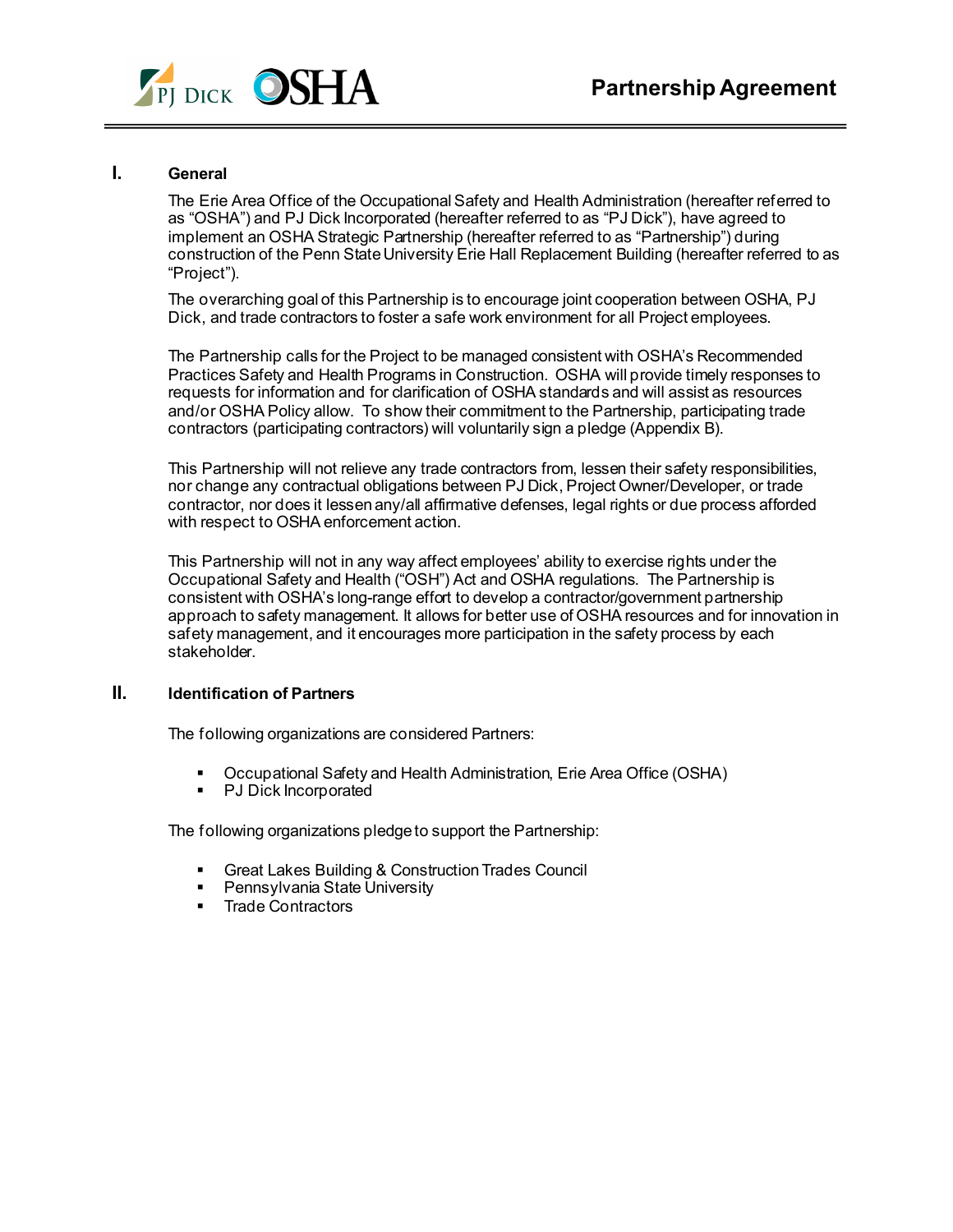

# **I. General**

The Erie Area Office of the Occupational Safety and Health Administration (hereafter referred to as "OSHA") and PJ Dick Incorporated (hereafter referred to as "PJ Dick"), have agreed to implement an OSHA Strategic Partnership (hereafter referred to as "Partnership") during construction of the Penn State University Erie Hall Replacement Building (hereafter referred to as "Project").

The overarching goal of this Partnership is to encourage joint cooperation between OSHA, PJ Dick, and trade contractors to foster a safe work environment for all Project employees.

The Partnership calls for the Project to be managed consistent with OSHA's Recommended Practices Safety and Health Programs in Construction. OSHA will provide timely responses to requests for information and for clarification of OSHA standards and will assist as resources and/or OSHA Policy allow. To show their commitment to the Partnership, participating trade contractors (participating contractors) will voluntarily sign a pledge (Appendix B).

This Partnership will not relieve any trade contractors from, lessen their safety responsibilities, nor change any contractual obligations between PJ Dick, Project Owner/Developer, or trade contractor, nor does it lessen any/all affirmative defenses, legal rights or due process afforded with respect to OSHA enforcement action.

This Partnership will not in any way affect employees' ability to exercise rights under the Occupational Safety and Health ("OSH") Act and OSHA regulations. The Partnership is consistent with OSHA's long-range effort to develop a contractor/government partnership approach to safety management. It allows for better use of OSHA resources and for innovation in safety management, and it encourages more participation in the safety process by each stakeholder.

### **II. Identification of Partners**

The following organizations are considered Partners:

- Occupational Safety and Health Administration, Erie Area Office (OSHA)<br>■ PJ Dick Incorporated
- PJ Dick Incorporated

The following organizations pledge to support the Partnership:

- **Great Lakes Building & Construction Trades Council**
- Pennsylvania State University
- **Trade Contractors**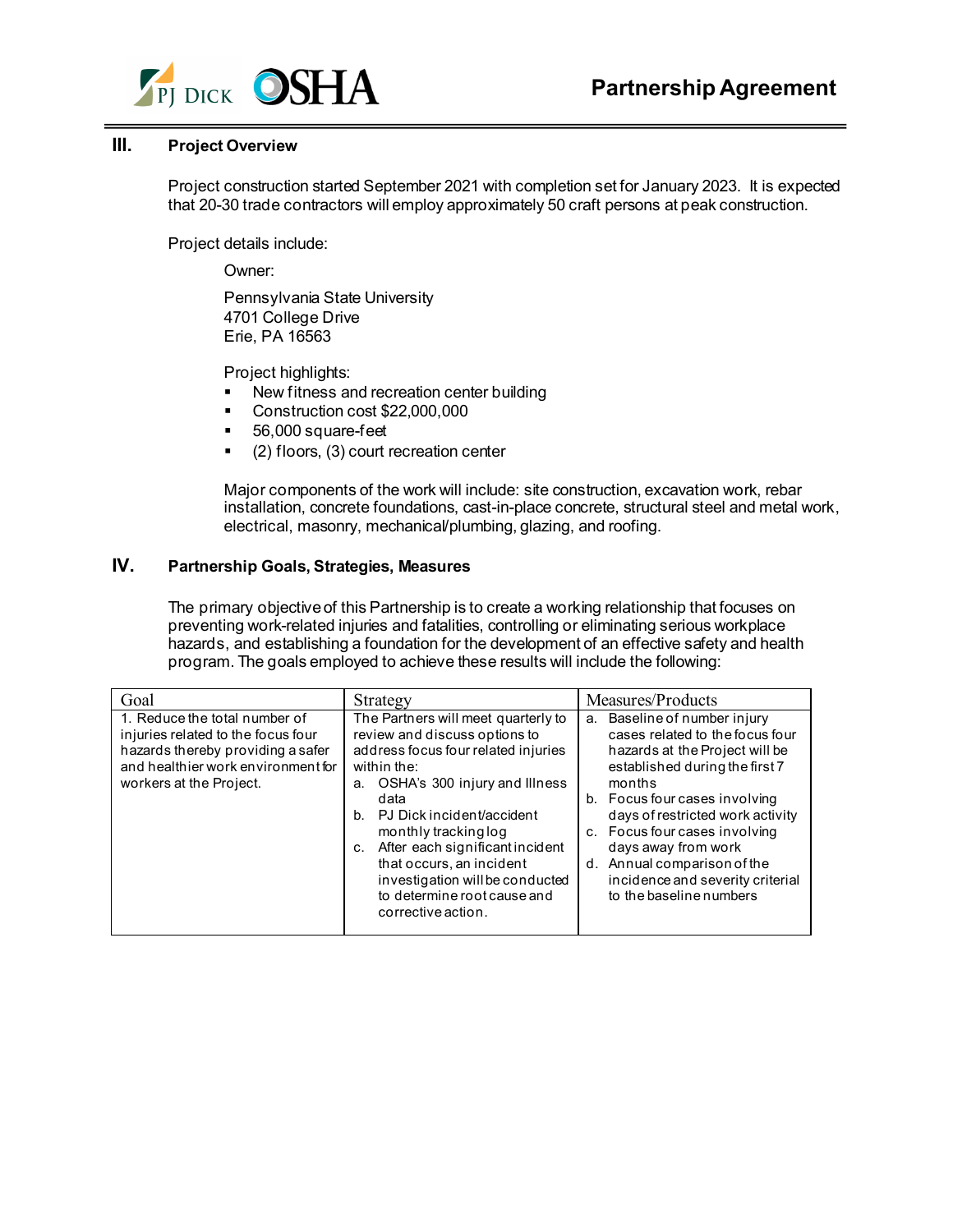

# **III. Project Overview**

Project construction started September 2021 with completion set for January 2023. It is expected that 20-30 trade contractors will employ approximately 50 craft persons at peak construction.

Project details include:

Owner:

Pennsylvania State University 4701 College Drive Erie, PA 16563

Project highlights:

- New fitness and recreation center building
- Construction cost \$22,000,000
- 56,000 square-feet
- (2) floors, (3) court recreation center

Major components of the work will include: site construction, excavation work, rebar installation, concrete foundations, cast-in-place concrete, structural steel and metal work, electrical, masonry, mechanical/plumbing, glazing, and roofing.

# **IV. Partnership Goals, Strategies, Measures**

The primary objective of this Partnership is to create a working relationship that focuses on preventing work-related injuries and fatalities, controlling or eliminating serious workplace hazards, and establishing a foundation for the development of an effective safety and health program. The goals employed to achieve these results will include the following:

| Goal                                                                                                                                                                      | Strategy                                                                                                                                                                                                                                                                                                                                                                                               | Measures/Products                                                                                                                                                                                                                                                                                                                                                        |
|---------------------------------------------------------------------------------------------------------------------------------------------------------------------------|--------------------------------------------------------------------------------------------------------------------------------------------------------------------------------------------------------------------------------------------------------------------------------------------------------------------------------------------------------------------------------------------------------|--------------------------------------------------------------------------------------------------------------------------------------------------------------------------------------------------------------------------------------------------------------------------------------------------------------------------------------------------------------------------|
| 1. Reduce the total number of<br>injuries related to the focus four<br>hazards thereby providing a safer<br>and healthier work environment for<br>workers at the Project. | The Partners will meet quarterly to<br>review and discuss options to<br>address focus four related injuries<br>within the:<br>OSHA's 300 injury and Illness<br>а.<br>data<br>PJ Dick incident/accident<br>$h_{-}$<br>monthly tracking log<br>After each significant incident<br>C.<br>that occurs, an incident<br>investigation will be conducted<br>to determine root cause and<br>corrective action. | a. Baseline of number injury<br>cases related to the focus four<br>hazards at the Project will be<br>established during the first 7<br>months<br>b. Focus four cases involving<br>days of restricted work activity<br>c. Focus four cases involving<br>days away from work<br>d. Annual comparison of the<br>incidence and severity criterial<br>to the baseline numbers |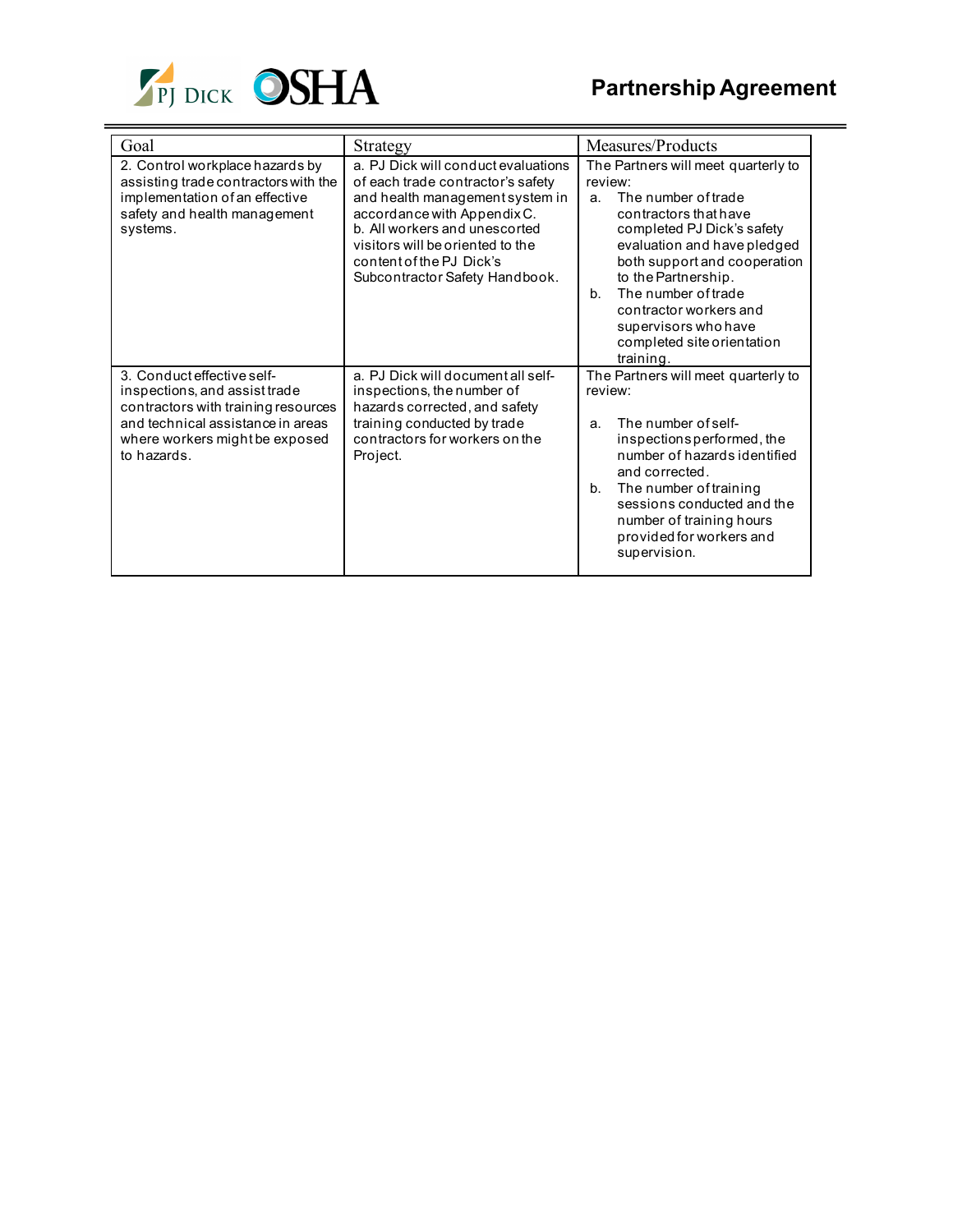

| Goal                                                                                                                                                                                     | Strategy                                                                                                                                                                                                                                                                      | Measures/Products                                                                                                                                                                                                                                                                                                                                       |
|------------------------------------------------------------------------------------------------------------------------------------------------------------------------------------------|-------------------------------------------------------------------------------------------------------------------------------------------------------------------------------------------------------------------------------------------------------------------------------|---------------------------------------------------------------------------------------------------------------------------------------------------------------------------------------------------------------------------------------------------------------------------------------------------------------------------------------------------------|
| 2. Control workplace hazards by<br>assisting trade contractors with the<br>implementation of an effective<br>safety and health management<br>systems.                                    | a. PJ Dick will conduct evaluations<br>of each trade contractor's safety<br>and health management system in<br>accordance with Appendix C.<br>b. All workers and unescorted<br>visitors will be oriented to the<br>content of the PJ Dick's<br>Subcontractor Safety Handbook. | The Partners will meet quarterly to<br>review:<br>The number of trade<br>a.<br>contractors that have<br>completed PJ Dick's safety<br>evaluation and have pledged<br>both support and cooperation<br>to the Partnership.<br>The number of trade<br>$h_{-}$<br>contractor workers and<br>supervisors who have<br>completed site orientation<br>training. |
| 3. Conduct effective self-<br>inspections, and assist trade<br>contractors with training resources<br>and technical assistance in areas<br>where workers might be exposed<br>to hazards. | a. PJ Dick will document all self-<br>inspections, the number of<br>hazards corrected, and safety<br>training conducted by trade<br>contractors for workers on the<br>Project.                                                                                                | The Partners will meet quarterly to<br>review:<br>The number of self-<br>a.<br>inspections performed, the<br>number of hazards identified<br>and corrected.<br>The number of training<br>b <sub>1</sub><br>sessions conducted and the<br>number of training hours<br>provided for workers and<br>supervision.                                           |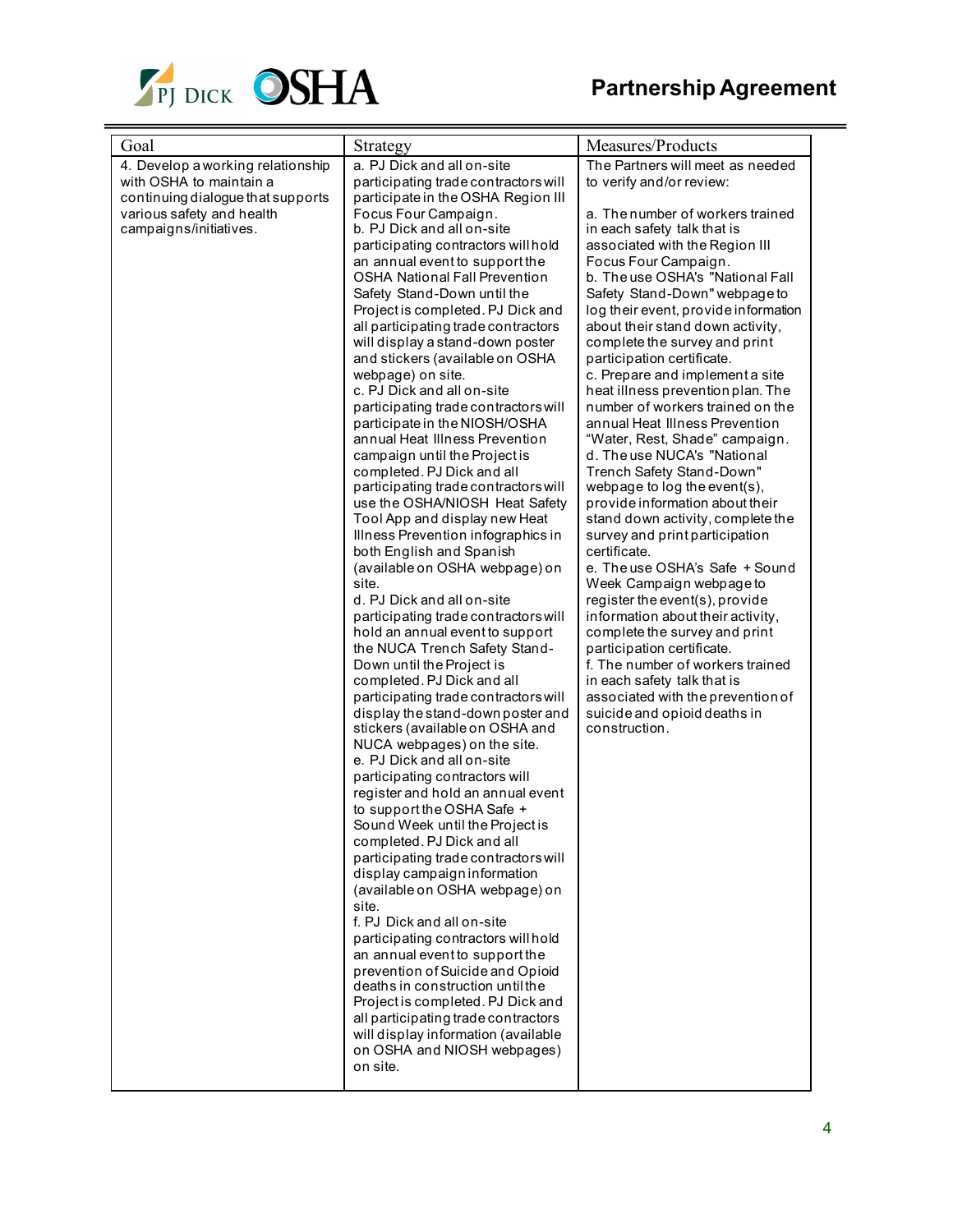

| Goal                                                                                                                                                     | Strategy                                                                                                                                                                                                                                                                                                                                                                                                                                                                                                                                                                                                                                                                                                                                                                                                                                                                                                                                                                                                                                                                                                                                                                                                                                                                                                                                                                                                                                                                                                                                                                                                                                                                                                                                                                                                                                                                                                                                       | Measures/Products                                                                                                                                                                                                                                                                                                                                                                                                                                                                                                                                                                                                                                                                                                                                                                                                                                                                                                                                                                                                                                                                                                                                                            |
|----------------------------------------------------------------------------------------------------------------------------------------------------------|------------------------------------------------------------------------------------------------------------------------------------------------------------------------------------------------------------------------------------------------------------------------------------------------------------------------------------------------------------------------------------------------------------------------------------------------------------------------------------------------------------------------------------------------------------------------------------------------------------------------------------------------------------------------------------------------------------------------------------------------------------------------------------------------------------------------------------------------------------------------------------------------------------------------------------------------------------------------------------------------------------------------------------------------------------------------------------------------------------------------------------------------------------------------------------------------------------------------------------------------------------------------------------------------------------------------------------------------------------------------------------------------------------------------------------------------------------------------------------------------------------------------------------------------------------------------------------------------------------------------------------------------------------------------------------------------------------------------------------------------------------------------------------------------------------------------------------------------------------------------------------------------------------------------------------------------|------------------------------------------------------------------------------------------------------------------------------------------------------------------------------------------------------------------------------------------------------------------------------------------------------------------------------------------------------------------------------------------------------------------------------------------------------------------------------------------------------------------------------------------------------------------------------------------------------------------------------------------------------------------------------------------------------------------------------------------------------------------------------------------------------------------------------------------------------------------------------------------------------------------------------------------------------------------------------------------------------------------------------------------------------------------------------------------------------------------------------------------------------------------------------|
| 4. Develop a working relationship<br>with OSHA to maintain a<br>continuing dialogue that supports<br>various safety and health<br>campaigns/initiatives. | a. PJ Dick and all on-site<br>participating trade contractors will<br>participate in the OSHA Region III<br>Focus Four Campaign.<br>b. PJ Dick and all on-site<br>participating contractors will hold<br>an annual event to support the<br><b>OSHA National Fall Prevention</b><br>Safety Stand-Down until the<br>Project is completed. PJ Dick and<br>all participating trade contractors<br>will display a stand-down poster<br>and stickers (available on OSHA<br>webpage) on site.<br>c. PJ Dick and all on-site<br>participating trade contractors will<br>participate in the NIOSH/OSHA<br>annual Heat Illness Prevention<br>campaign until the Project is<br>completed. PJ Dick and all<br>participating trade contractors will<br>use the OSHA/NIOSH Heat Safety<br>Tool App and display new Heat<br>Illness Prevention infographics in<br>both English and Spanish<br>(available on OSHA webpage) on<br>site.<br>d. PJ Dick and all on-site<br>participating trade contractors will<br>hold an annual event to support<br>the NUCA Trench Safety Stand-<br>Down until the Project is<br>completed. PJ Dick and all<br>participating trade contractors will<br>display the stand-down poster and<br>stickers (available on OSHA and<br>NUCA webpages) on the site.<br>e. PJ Dick and all on-site<br>participating contractors will<br>register and hold an annual event<br>to support the OSHA Safe +<br>Sound Week until the Project is<br>completed. PJ Dick and all<br>participating trade contractors will<br>display campaign information<br>(available on OSHA webpage) on<br>site.<br>f. PJ Dick and all on-site<br>participating contractors will hold<br>an annual event to support the<br>prevention of Suicide and Opioid<br>deaths in construction until the<br>Project is completed. PJ Dick and<br>all participating trade contractors<br>will display information (available<br>on OSHA and NIOSH webpages)<br>on site. | The Partners will meet as needed<br>to verify and/or review:<br>a. The number of workers trained<br>in each safety talk that is<br>associated with the Region III<br>Focus Four Campaign.<br>b. The use OSHA's "National Fall<br>Safety Stand-Down" webpage to<br>log their event, provide information<br>about their stand down activity,<br>complete the survey and print<br>participation certificate.<br>c. Prepare and implement a site<br>heat illness prevention plan. The<br>number of workers trained on the<br>annual Heat Illness Prevention<br>"Water, Rest, Shade" campaign.<br>d. The use NUCA's "National<br>Trench Safety Stand-Down"<br>webpage to log the event(s),<br>provide information about their<br>stand down activity, complete the<br>survey and print participation<br>certificate.<br>e. The use OSHA's Safe + Sound<br>Week Campaign webpage to<br>register the event(s), provide<br>information about their activity,<br>complete the survey and print<br>participation certificate.<br>f. The number of workers trained<br>in each safety talk that is<br>associated with the prevention of<br>suicide and opioid deaths in<br>construction. |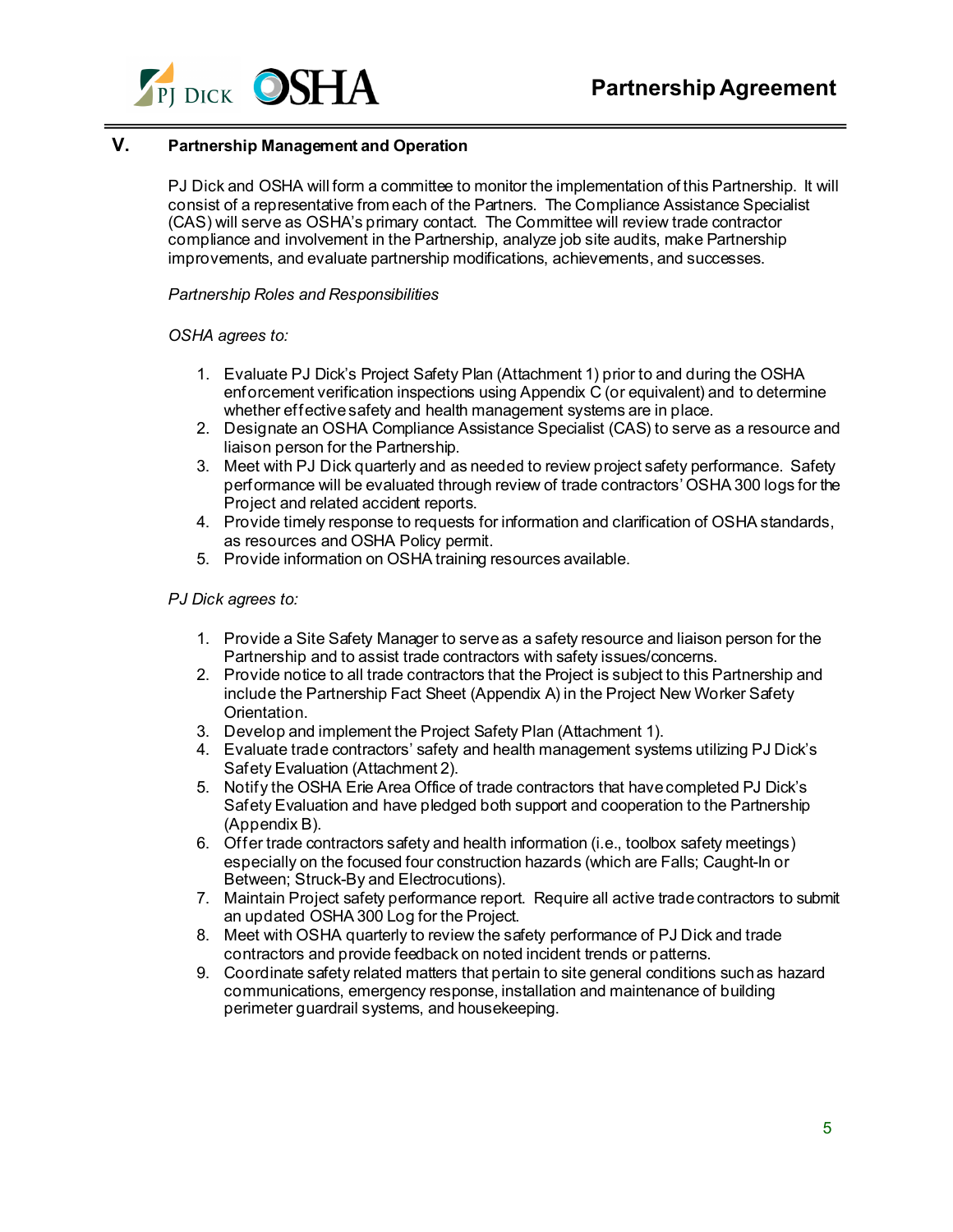

# **V. Partnership Management and Operation**

PJ Dick and OSHA will form a committee to monitor the implementation of this Partnership. It will consist of a representative from each of the Partners. The Compliance Assistance Specialist (CAS) will serve as OSHA's primary contact. The Committee will review trade contractor compliance and involvement in the Partnership, analyze job site audits, make Partnership improvements, and evaluate partnership modifications, achievements, and successes.

*Partnership Roles and Responsibilities*

### *OSHA agrees to:*

- 1. Evaluate PJ Dick's Project Safety Plan (Attachment 1) prior to and during the OSHA enforcement verification inspections using Appendix C (or equivalent) and to determine whether effective safety and health management systems are in place.
- 2. Designate an OSHA Compliance Assistance Specialist (CAS) to serve as a resource and liaison person for the Partnership.
- 3. Meet with PJ Dick quarterly and as needed to review project safety performance. Safety performance will be evaluated through review of trade contractors' OSHA 300 logs for the Project and related accident reports.
- 4. Provide timely response to requests for information and clarification of OSHA standards, as resources and OSHA Policy permit.
- 5. Provide information on OSHA training resources available.

### *PJ Dick agrees to:*

- 1. Provide a Site Safety Manager to serve as a safety resource and liaison person for the Partnership and to assist trade contractors with safety issues/concerns.
- 2. Provide notice to all trade contractors that the Project is subject to this Partnership and include the Partnership Fact Sheet (Appendix A) in the Project New Worker Safety Orientation.
- 3. Develop and implement the Project Safety Plan (Attachment 1).
- 4. Evaluate trade contractors' safety and health management systems utilizing PJ Dick's Safety Evaluation (Attachment 2).
- 5. Notify the OSHA Erie Area Office of trade contractors that have completed PJ Dick's Safety Evaluation and have pledged both support and cooperation to the Partnership (Appendix B).
- 6. Offer trade contractors safety and health information (i.e., toolbox safety meetings) especially on the focused four construction hazards (which are Falls; Caught-In or Between; Struck-By and Electrocutions).
- 7. Maintain Project safety performance report. Require all active trade contractors to submit an updated OSHA 300 Log for the Project.
- 8. Meet with OSHA quarterly to review the safety performance of PJ Dick and trade contractors and provide feedback on noted incident trends or patterns.
- 9. Coordinate safety related matters that pertain to site general conditions such as hazard communications, emergency response, installation and maintenance of building perimeter guardrail systems, and housekeeping.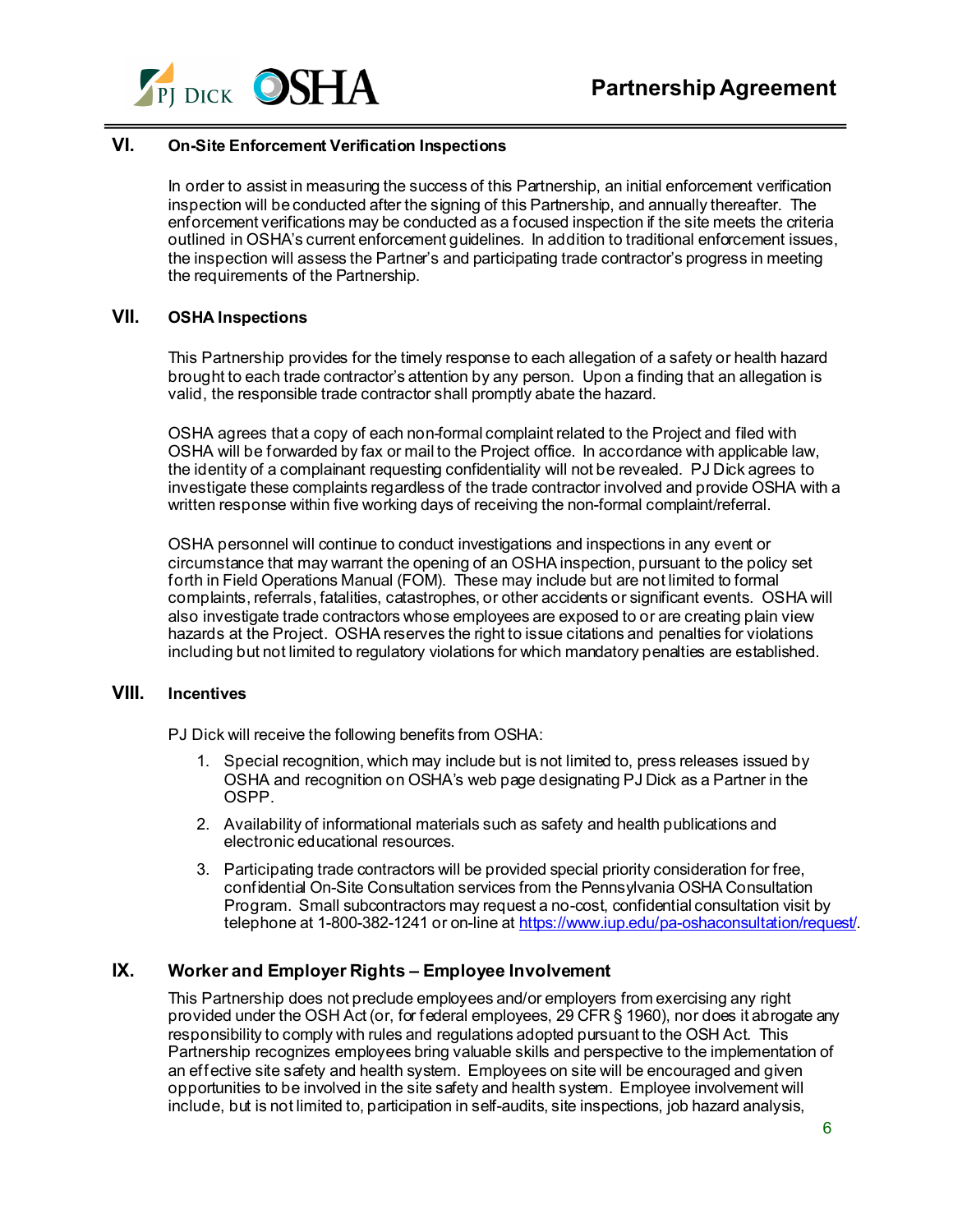

# **VI. On-Site Enforcement Verification Inspections**

In order to assist in measuring the success of this Partnership, an initial enforcement verification inspection will be conducted after the signing of this Partnership, and annually thereafter. The enforcement verifications may be conducted as a focused inspection if the site meets the criteria outlined in OSHA's current enforcement guidelines. In addition to traditional enforcement issues, the inspection will assess the Partner's and participating trade contractor's progress in meeting the requirements of the Partnership.

### **VII. OSHA Inspections**

This Partnership provides for the timely response to each allegation of a safety or health hazard brought to each trade contractor's attention by any person. Upon a finding that an allegation is valid, the responsible trade contractor shall promptly abate the hazard.

OSHA agrees that a copy of each non-formal complaint related to the Project and filed with OSHA will be forwarded by fax or mail to the Project office. In accordance with applicable law, the identity of a complainant requesting confidentiality will not be revealed. PJ Dick agrees to investigate these complaints regardless of the trade contractor involved and provide OSHA with a written response within five working days of receiving the non-formal complaint/referral.

OSHA personnel will continue to conduct investigations and inspections in any event or circumstance that may warrant the opening of an OSHA inspection, pursuant to the policy set forth in Field Operations Manual (FOM). These may include but are not limited to formal complaints, referrals, fatalities, catastrophes, or other accidents or significant events. OSHA will also investigate trade contractors whose employees are exposed to or are creating plain view hazards at the Project. OSHA reserves the right to issue citations and penalties for violations including but not limited to regulatory violations for which mandatory penalties are established.

### **VIII. Incentives**

PJ Dick will receive the following benefits from OSHA:

- 1. Special recognition, which may include but is not limited to, press releases issued by OSHA and recognition on OSHA's web page designating PJ Dick as a Partner in the OSPP.
- 2. Availability of informational materials such as safety and health publications and electronic educational resources.
- 3. Participating trade contractors will be provided special priority consideration for free, confidential On-Site Consultation services from the Pennsylvania OSHA Consultation Program. Small subcontractors may request a no-cost, confidential consultation visit by telephone at 1-800-382-1241 or on-line a[t https://www.iup.edu/pa-oshaconsultation/request/.](https://www.iup.edu/pa-oshaconsultation/request/)

# **IX. Worker and Employer Rights – Employee Involvement**

This Partnership does not preclude employees and/or employers from exercising any right provided under the OSH Act (or, for federal employees, 29 CFR § 1960), nor does it abrogate any responsibility to comply with rules and regulations adopted pursuant to the OSH Act. This Partnership recognizes employees bring valuable skills and perspective to the implementation of an effective site safety and health system. Employees on site will be encouraged and given opportunities to be involved in the site safety and health system. Employee involvement will include, but is not limited to, participation in self-audits, site inspections, job hazard analysis,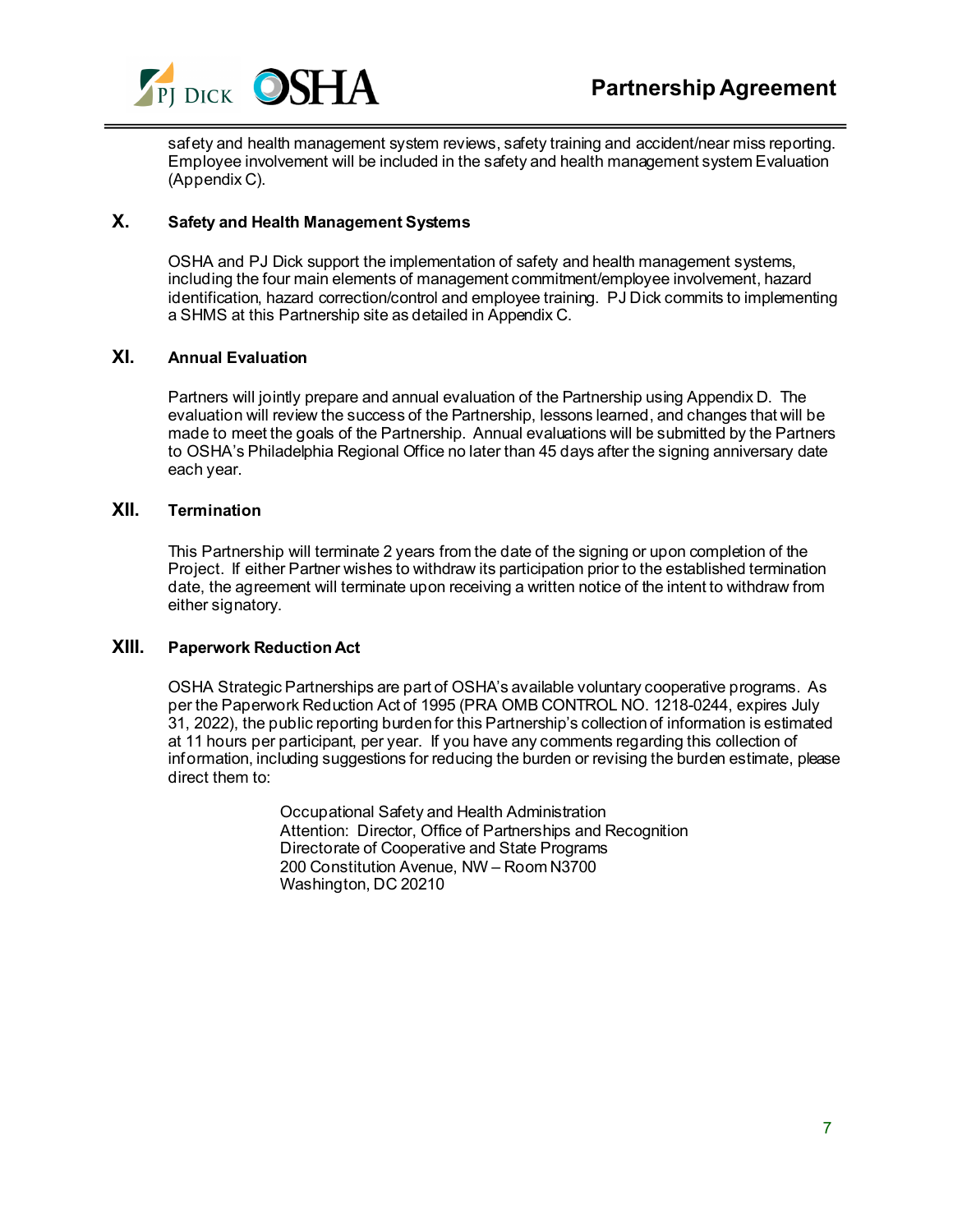

safety and health management system reviews, safety training and accident/near miss reporting. Employee involvement will be included in the safety and health management system Evaluation (Appendix C).

# **X. Safety and Health Management Systems**

OSHA and PJ Dick support the implementation of safety and health management systems, including the four main elements of management commitment/employee involvement, hazard identification, hazard correction/control and employee training. PJ Dick commits to implementing a SHMS at this Partnership site as detailed in Appendix C.

### **XI. Annual Evaluation**

Partners will jointly prepare and annual evaluation of the Partnership using Appendix D. The evaluation will review the success of the Partnership, lessons learned, and changes that will be made to meet the goals of the Partnership. Annual evaluations will be submitted by the Partners to OSHA's Philadelphia Regional Office no later than 45 days after the signing anniversary date each year.

### **XII. Termination**

This Partnership will terminate 2 years from the date of the signing or upon completion of the Project. If either Partner wishes to withdraw its participation prior to the established termination date, the agreement will terminate upon receiving a written notice of the intent to withdraw from either signatory.

### **XIII. Paperwork Reduction Act**

OSHA Strategic Partnerships are part of OSHA's available voluntary cooperative programs. As per the Paperwork Reduction Act of 1995 (PRA OMB CONTROL NO. 1218-0244, expires July 31, 2022), the public reporting burden for this Partnership's collection of information is estimated at 11 hours per participant, per year. If you have any comments regarding this collection of information, including suggestions for reducing the burden or revising the burden estimate, please direct them to:

> Occupational Safety and Health Administration Attention: Director, Office of Partnerships and Recognition Directorate of Cooperative and State Programs 200 Constitution Avenue, NW – Room N3700 Washington, DC 20210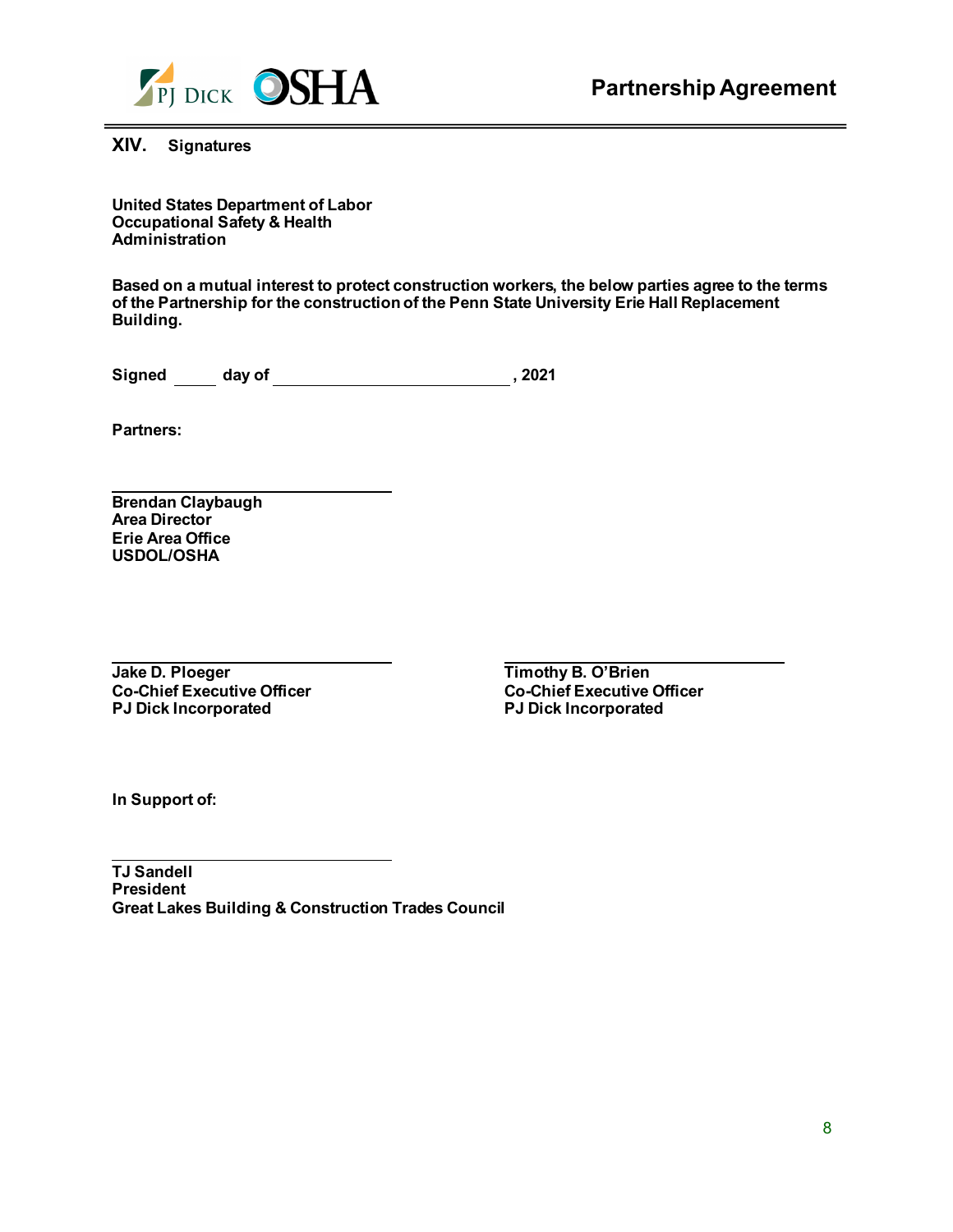

**XIV. Signatures**

**United States Department of Labor Occupational Safety & Health Administration**

**Based on a mutual interest to protect construction workers, the below parties agree to the terms of the Partnership for the construction of the Penn State University Erie Hall Replacement Building.** 

Signed \_\_\_\_\_ day of \_\_\_\_\_\_\_\_\_\_\_\_\_\_\_\_\_\_\_\_\_\_\_\_\_\_\_\_\_\_\_\_, 2021

**Partners:** 

**Brendan Claybaugh Area Director Erie Area Office USDOL/OSHA**

**Jake D. Ploeger Co-Chief Executive Officer Co-Chief Executive Co-Chief Executive Co-Chief Executive Co-Chief Executive Co-Chief Executive Co-Chief Executive Co-Chief Executive Co-Chief Executive Co-Chief Executive Co-Chie PJ Dick Incorporated PJ Dick Incorporated**

**Co-Chief Executive Officer<br>PJ Dick Incorporated** 

**In Support of:**

**TJ Sandell President Great Lakes Building & Construction Trades Council**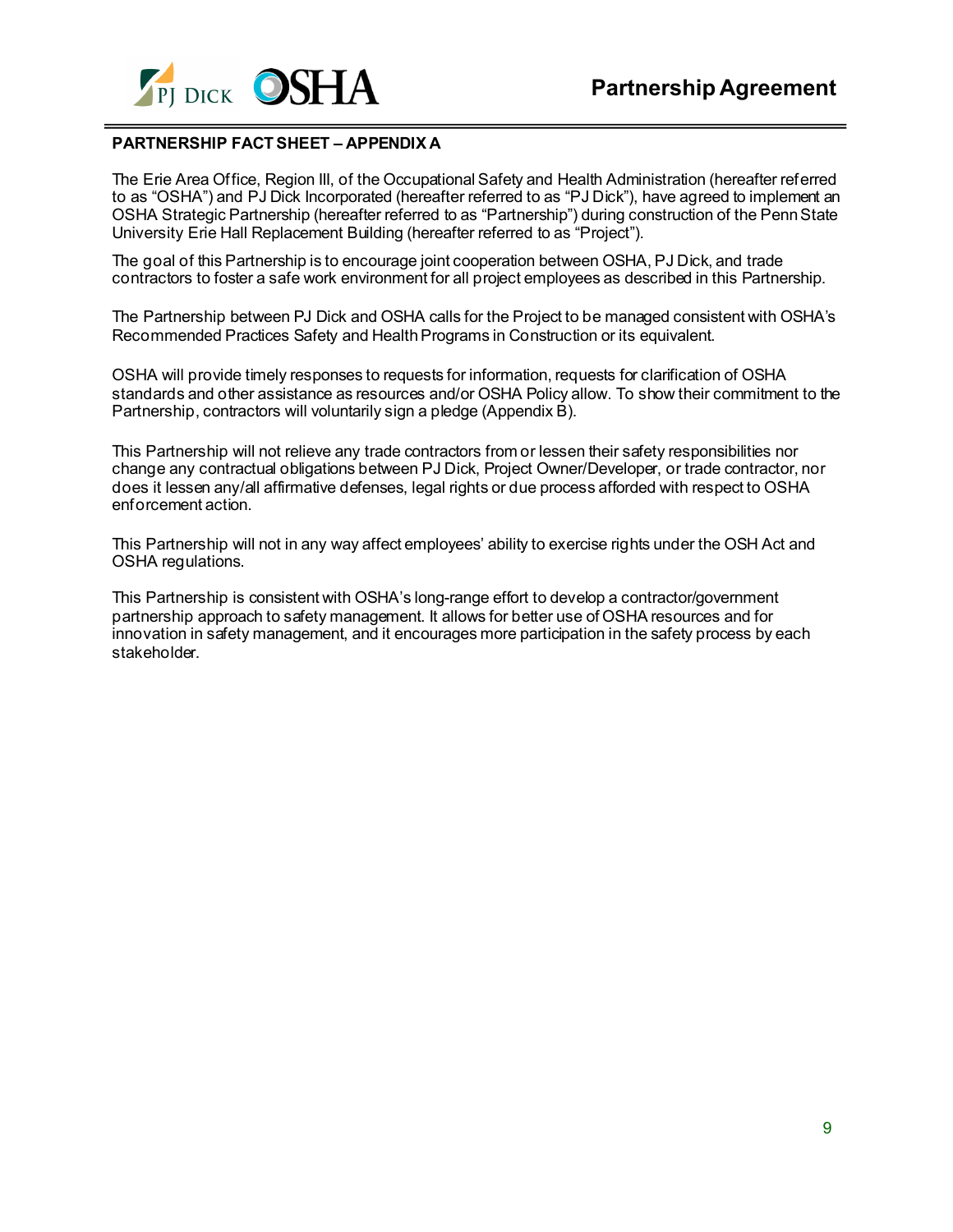

### **PARTNERSHIP FACT SHEET – APPENDIX A**

The Erie Area Office, Region III, of the Occupational Safety and Health Administration (hereafter referred to as "OSHA") and PJ Dick Incorporated (hereafter referred to as "PJ Dick"), have agreed to implement an OSHA Strategic Partnership (hereafter referred to as "Partnership") during construction of the Penn State University Erie Hall Replacement Building (hereafter referred to as "Project").

The goal of this Partnership is to encourage joint cooperation between OSHA, PJ Dick, and trade contractors to foster a safe work environment for all project employees as described in this Partnership.

The Partnership between PJ Dick and OSHA calls for the Project to be managed consistent with OSHA's Recommended Practices Safety and Health Programs in Construction or its equivalent.

OSHA will provide timely responses to requests for information, requests for clarification of OSHA standards and other assistance as resources and/or OSHA Policy allow. To show their commitment to the Partnership, contractors will voluntarily sign a pledge (Appendix B).

This Partnership will not relieve any trade contractors from or lessen their safety responsibilities nor change any contractual obligations between PJ Dick, Project Owner/Developer, or trade contractor, nor does it lessen any/all affirmative defenses, legal rights or due process afforded with respect to OSHA enforcement action.

This Partnership will not in any way affect employees' ability to exercise rights under the OSH Act and OSHA regulations.

This Partnership is consistent with OSHA's long-range effort to develop a contractor/government partnership approach to safety management. It allows for better use of OSHA resources and for innovation in safety management, and it encourages more participation in the safety process by each stakeholder.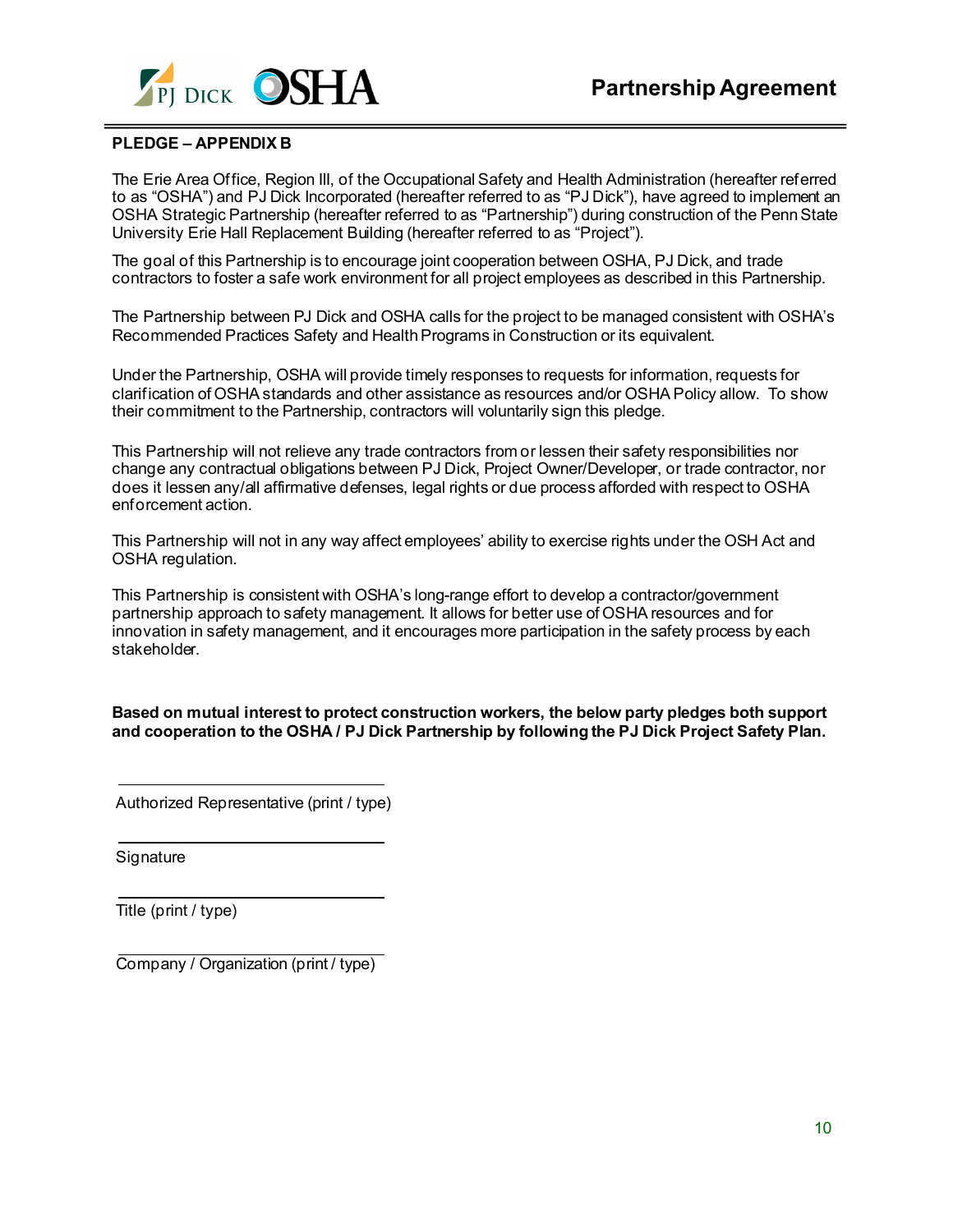

#### **PLEDGE – APPENDIX B**

The Erie Area Office, Region III, of the Occupational Safety and Health Administration (hereafter referred to as "OSHA") and PJ Dick Incorporated (hereafter referred to as "PJ Dick"), have agreed to implement an OSHA Strategic Partnership (hereafter referred to as "Partnership") during construction of the PennState University Erie Hall Replacement Building (hereafter referred to as "Project").

The goal of this Partnership is to encourage joint cooperation between OSHA, PJ Dick, and trade contractors to foster a safe work environment for all project employees as described in this Partnership.

The Partnership between PJ Dick and OSHA calls for the project to be managed consistent with OSHA's Recommended Practices Safety and Health Programs in Construction or its equivalent.

Under the Partnership, OSHA will provide timely responses to requests for information, requests for clarification of OSHA standards and other assistance as resources and/or OSHA Policy allow. To show their commitment to the Partnership, contractors will voluntarily sign this pledge.

This Partnership will not relieve any trade contractors from or lessen their safety responsibilities nor change any contractual obligations between PJ Dick, Project Owner/Developer, or trade contractor, nor does it lessen any/all affirmative defenses, legal rights or due process afforded with respect to OSHA enforcement action.

This Partnership will not in any way affect employees' ability to exercise rights under the OSH Act and OSHA regulation.

This Partnership is consistent with OSHA's long-range effort to develop a contractor/government partnership approach to safety management. It allows for better use of OSHA resources and for innovation in safety management, and it encourages more participation in the safety process by each stakeholder.

**Based on mutual interest to protect construction workers, the below party pledges both support and cooperation to the OSHA / PJ Dick Partnership by following the PJ Dick Project Safety Plan.** 

Authorized Representative (print / type)

Signature

Title (print / type)

Company / Organization (print / type)